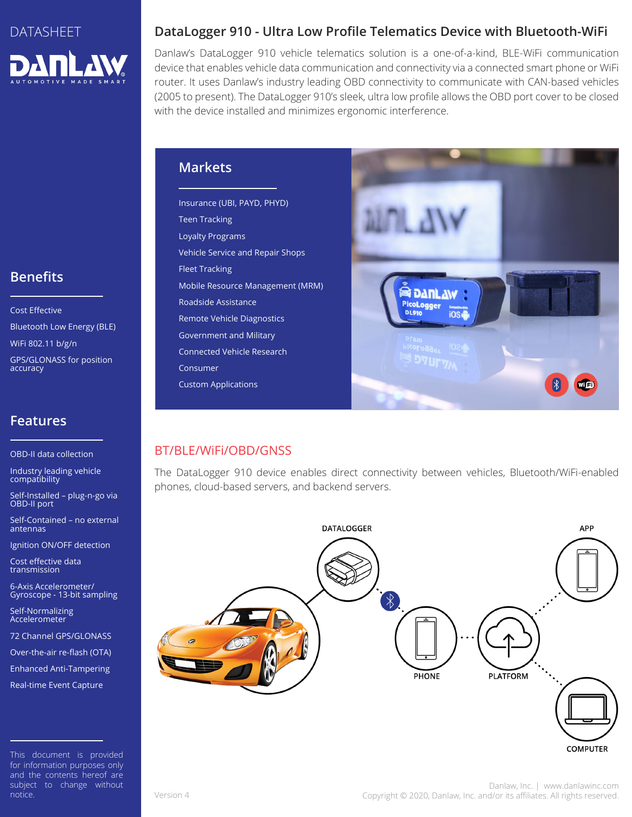

## **Benefits**

Cost Effective Bluetooth Low Energy (BLE) WiFi 802.11 b/g/n GPS/GLONASS for position accuracy

### **Features**

OBD-II data collection

Industry leading vehicle compatibility

Self-Installed – plug-n-go via OBD-II port

Self-Contained – no external antennas

Ignition ON/OFF detection

Cost effective data transmission

6-Axis Accelerometer/ Gyroscope - 13-bit sampling

Self-Normalizing Accelerometer

72 Channel GPS/GLONASS

Over-the-air re-flash (OTA)

Enhanced Anti-Tampering Real-time Event Capture

This document is provided for information purposes only and the contents hereof are subject to change without notice.

### **DataLogger 910 - Ultra Low Profile Telematics Device with Bluetooth-WiFi**

Danlaw's DataLogger 910 vehicle telematics solution is a one-of-a-kind, BLE-WiFi communication device that enables vehicle data communication and connectivity via a connected smart phone or WiFi router. It uses Danlaw's industry leading OBD connectivity to communicate with CAN-based vehicles (2005 to present). The DataLogger 910's sleek, ultra low profile allows the OBD port cover to be closed with the device installed and minimizes ergonomic interference.

#### **Markets**

Insurance (UBI, PAYD, PHYD) Teen Tracking Loyalty Programs Vehicle Service and Repair Shops Fleet Tracking Mobile Resource Management (MRM) Roadside Assistance Remote Vehicle Diagnostics Government and Military Connected Vehicle Research Consumer Custom Applications



#### BT/BLE/WiFi/OBD/GNSS

The DataLogger 910 device enables direct connectivity between vehicles, Bluetooth/WiFi-enabled phones, cloud-based servers, and backend servers.